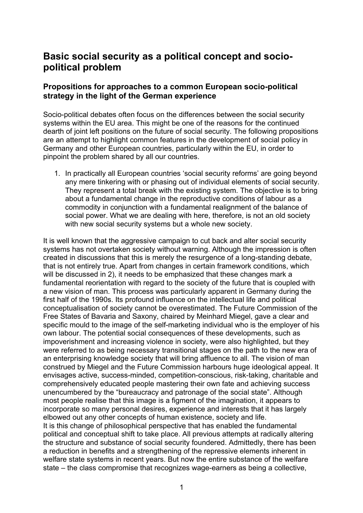## **Basic social security as a political concept and sociopolitical problem**

## **Propositions for approaches to a common European socio-political strategy in the light of the German experience**

Socio-political debates often focus on the differences between the social security systems within the EU area. This might be one of the reasons for the continued dearth of joint left positions on the future of social security. The following propositions are an attempt to highlight common features in the development of social policy in Germany and other European countries, particularly within the EU, in order to pinpoint the problem shared by all our countries.

1. In practically all European countries 'social security reforms' are going beyond any mere tinkering with or phasing out of individual elements of social security. They represent a total break with the existing system. The objective is to bring about a fundamental change in the reproductive conditions of labour as a commodity in conjunction with a fundamental realignment of the balance of social power. What we are dealing with here, therefore, is not an old society with new social security systems but a whole new society.

It is well known that the aggressive campaign to cut back and alter social security systems has not overtaken society without warning. Although the impression is often created in discussions that this is merely the resurgence of a long-standing debate, that is not entirely true. Apart from changes in certain framework conditions, which will be discussed in 2), it needs to be emphasized that these changes mark a fundamental reorientation with regard to the society of the future that is coupled with a new vision of man. This process was particularly apparent in Germany during the first half of the 1990s. Its profound influence on the intellectual life and political conceptualisation of society cannot be overestimated. The Future Commission of the Free States of Bavaria and Saxony, chaired by Meinhard Miegel, gave a clear and specific mould to the image of the self-marketing individual who is the employer of his own labour. The potential social consequences of these developments, such as impoverishment and increasing violence in society, were also highlighted, but they were referred to as being necessary transitional stages on the path to the new era of an enterprising knowledge society that will bring affluence to all. The vision of man construed by Miegel and the Future Commission harbours huge ideological appeal. It envisages active, success-minded, competition-conscious, risk-taking, charitable and comprehensively educated people mastering their own fate and achieving success unencumbered by the "bureaucracy and patronage of the social state". Although most people realise that this image is a figment of the imagination, it appears to incorporate so many personal desires, experience and interests that it has largely elbowed out any other concepts of human existence, society and life. It is this change of philosophical perspective that has enabled the fundamental political and conceptual shift to take place. All previous attempts at radically altering the structure and substance of social security foundered. Admittedly, there has been a reduction in benefits and a strengthening of the repressive elements inherent in welfare state systems in recent years. But now the entire substance of the welfare state – the class compromise that recognizes wage-earners as being a collective,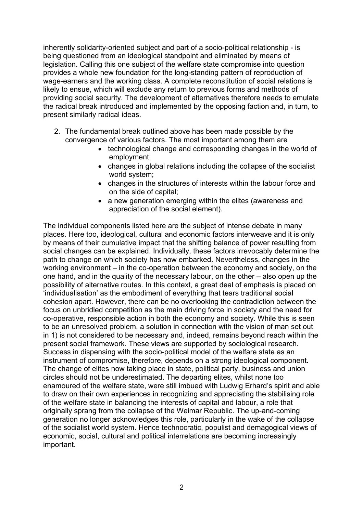inherently solidarity-oriented subject and part of a socio-political relationship - is being questioned from an ideological standpoint and eliminated by means of legislation. Calling this one subject of the welfare state compromise into question provides a whole new foundation for the long-standing pattern of reproduction of wage-earners and the working class. A complete reconstitution of social relations is likely to ensue, which will exclude any return to previous forms and methods of providing social security. The development of alternatives therefore needs to emulate the radical break introduced and implemented by the opposing faction and, in turn, to present similarly radical ideas.

- 2. The fundamental break outlined above has been made possible by the convergence of various factors. The most important among them are
	- technological change and corresponding changes in the world of employment;
	- changes in global relations including the collapse of the socialist world system;
	- changes in the structures of interests within the labour force and on the side of capital;
	- a new generation emerging within the elites (awareness and appreciation of the social element).

The individual components listed here are the subject of intense debate in many places. Here too, ideological, cultural and economic factors interweave and it is only by means of their cumulative impact that the shifting balance of power resulting from social changes can be explained. Individually, these factors irrevocably determine the path to change on which society has now embarked. Nevertheless, changes in the working environment – in the co-operation between the economy and society, on the one hand, and in the quality of the necessary labour, on the other – also open up the possibility of alternative routes. In this context, a great deal of emphasis is placed on 'individualisation' as the embodiment of everything that tears traditional social cohesion apart. However, there can be no overlooking the contradiction between the focus on unbridled competition as the main driving force in society and the need for co-operative, responsible action in both the economy and society. While this is seen to be an unresolved problem, a solution in connection with the vision of man set out in 1) is not considered to be necessary and, indeed, remains beyond reach within the present social framework. These views are supported by sociological research. Success in dispensing with the socio-political model of the welfare state as an instrument of compromise, therefore, depends on a strong ideological component. The change of elites now taking place in state, political party, business and union circles should not be underestimated. The departing elites, whilst none too enamoured of the welfare state, were still imbued with Ludwig Erhard's spirit and able to draw on their own experiences in recognizing and appreciating the stabilising role of the welfare state in balancing the interests of capital and labour, a role that originally sprang from the collapse of the Weimar Republic. The up-and-coming generation no longer acknowledges this role, particularly in the wake of the collapse of the socialist world system. Hence technocratic, populist and demagogical views of economic, social, cultural and political interrelations are becoming increasingly important.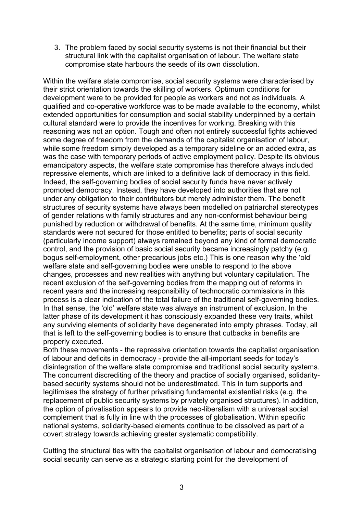3. The problem faced by social security systems is not their financial but their structural link with the capitalist organisation of labour. The welfare state compromise state harbours the seeds of its own dissolution.

Within the welfare state compromise, social security systems were characterised by their strict orientation towards the skilling of workers. Optimum conditions for development were to be provided for people as workers and not as individuals. A qualified and co-operative workforce was to be made available to the economy, whilst extended opportunities for consumption and social stability underpinned by a certain cultural standard were to provide the incentives for working. Breaking with this reasoning was not an option. Tough and often not entirely successful fights achieved some degree of freedom from the demands of the capitalist organisation of labour, while some freedom simply developed as a temporary sideline or an added extra, as was the case with temporary periods of active employment policy. Despite its obvious emancipatory aspects, the welfare state compromise has therefore always included repressive elements, which are linked to a definitive lack of democracy in this field. Indeed, the self-governing bodies of social security funds have never actively promoted democracy. Instead, they have developed into authorities that are not under any obligation to their contributors but merely administer them. The benefit structures of security systems have always been modelled on patriarchal stereotypes of gender relations with family structures and any non-conformist behaviour being punished by reduction or withdrawal of benefits. At the same time, minimum quality standards were not secured for those entitled to benefits; parts of social security (particularly income support) always remained beyond any kind of formal democratic control, and the provision of basic social security became increasingly patchy (e.g. bogus self-employment, other precarious jobs etc.) This is one reason why the 'old' welfare state and self-governing bodies were unable to respond to the above changes, processes and new realities with anything but voluntary capitulation. The recent exclusion of the self-governing bodies from the mapping out of reforms in recent years and the increasing responsibility of technocratic commissions in this process is a clear indication of the total failure of the traditional self-governing bodies. In that sense, the 'old' welfare state was always an instrument of exclusion. In the latter phase of its development it has consciously expanded these very traits, whilst any surviving elements of solidarity have degenerated into empty phrases. Today, all that is left to the self-governing bodies is to ensure that cutbacks in benefits are properly executed.

Both these movements - the repressive orientation towards the capitalist organisation of labour and deficits in democracy - provide the all-important seeds for today's disintegration of the welfare state compromise and traditional social security systems. The concurrent discrediting of the theory and practice of socially organised, solidaritybased security systems should not be underestimated. This in turn supports and legitimises the strategy of further privatising fundamental existential risks (e.g. the replacement of public security systems by privately organised structures). In addition, the option of privatisation appears to provide neo-liberalism with a universal social complement that is fully in line with the processes of globalisation. Within specific national systems, solidarity-based elements continue to be dissolved as part of a covert strategy towards achieving greater systematic compatibility.

Cutting the structural ties with the capitalist organisation of labour and democratising social security can serve as a strategic starting point for the development of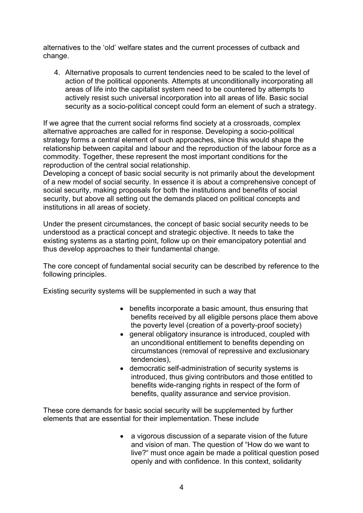alternatives to the 'old' welfare states and the current processes of cutback and change.

4. Alternative proposals to current tendencies need to be scaled to the level of action of the political opponents. Attempts at unconditionally incorporating all areas of life into the capitalist system need to be countered by attempts to actively resist such universal incorporation into all areas of life. Basic social security as a socio-political concept could form an element of such a strategy.

If we agree that the current social reforms find society at a crossroads, complex alternative approaches are called for in response. Developing a socio-political strategy forms a central element of such approaches, since this would shape the relationship between capital and labour and the reproduction of the labour force as a commodity. Together, these represent the most important conditions for the reproduction of the central social relationship.

Developing a concept of basic social security is not primarily about the development of a new model of social security. In essence it is about a comprehensive concept of social security, making proposals for both the institutions and benefits of social security, but above all setting out the demands placed on political concepts and institutions in all areas of society.

Under the present circumstances, the concept of basic social security needs to be understood as a practical concept and strategic objective. It needs to take the existing systems as a starting point, follow up on their emancipatory potential and thus develop approaches to their fundamental change.

The core concept of fundamental social security can be described by reference to the following principles.

Existing security systems will be supplemented in such a way that

- benefits incorporate a basic amount, thus ensuring that benefits received by all eligible persons place them above the poverty level (creation of a poverty-proof society)
- general obligatory insurance is introduced, coupled with an unconditional entitlement to benefits depending on circumstances (removal of repressive and exclusionary tendencies),
- democratic self-administration of security systems is introduced, thus giving contributors and those entitled to benefits wide-ranging rights in respect of the form of benefits, quality assurance and service provision.

These core demands for basic social security will be supplemented by further elements that are essential for their implementation. These include

> • a vigorous discussion of a separate vision of the future and vision of man. The question of "How do we want to live?" must once again be made a political question posed openly and with confidence. In this context, solidarity